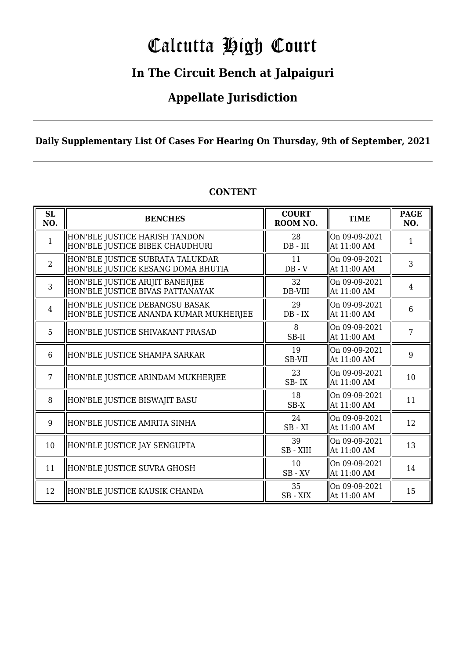# Calcutta High Court

### **In The Circuit Bench at Jalpaiguri**

### **Appellate Jurisdiction**

#### **Daily Supplementary List Of Cases For Hearing On Thursday, 9th of September, 2021**

| SL<br>NO.      | <b>BENCHES</b>                                                           | <b>COURT</b><br>ROOM NO. | <b>TIME</b>                  | <b>PAGE</b><br>NO. |
|----------------|--------------------------------------------------------------------------|--------------------------|------------------------------|--------------------|
| $\mathbf{1}$   | HON'BLE JUSTICE HARISH TANDON<br>HON'BLE JUSTICE BIBEK CHAUDHURI         | 28<br>$DB$ - $III$       | On 09-09-2021<br>At 11:00 AM | 1                  |
| $\overline{2}$ | HON'BLE JUSTICE SUBRATA TALUKDAR<br>HON'BLE JUSTICE KESANG DOMA BHUTIA   | 11<br>$DB - V$           | On 09-09-2021<br>At 11:00 AM | 3                  |
| 3              | HON'BLE JUSTICE ARIJIT BANERJEE<br>HON'BLE JUSTICE BIVAS PATTANAYAK      | 32<br>DB-VIII            | On 09-09-2021<br>At 11:00 AM | $\overline{4}$     |
| 4              | HON'BLE JUSTICE DEBANGSU BASAK<br>HON'BLE JUSTICE ANANDA KUMAR MUKHERJEE | 29<br>$DB - IX$          | On 09-09-2021<br>At 11:00 AM | 6                  |
| 5              | HON'BLE JUSTICE SHIVAKANT PRASAD                                         | 8<br>SB-II               | On 09-09-2021<br>At 11:00 AM | 7                  |
| 6              | HON'BLE JUSTICE SHAMPA SARKAR                                            | 19<br>SB-VII             | On 09-09-2021<br>At 11:00 AM | 9                  |
| 7              | HON'BLE JUSTICE ARINDAM MUKHERJEE                                        | 23<br>SB-IX              | On 09-09-2021<br>At 11:00 AM | 10                 |
| 8              | HON'BLE JUSTICE BISWAJIT BASU                                            | 18<br>$SB-X$             | On 09-09-2021<br>At 11:00 AM | 11                 |
| 9              | HON'BLE JUSTICE AMRITA SINHA                                             | 24<br>$SB - XI$          | On 09-09-2021<br>At 11:00 AM | 12                 |
| 10             | HON'BLE JUSTICE JAY SENGUPTA                                             | 39<br>SB - XIII          | On 09-09-2021<br>At 11:00 AM | 13                 |
| 11             | HON'BLE JUSTICE SUVRA GHOSH                                              | 10<br>$SB$ - $XV$        | On 09-09-2021<br>At 11:00 AM | 14                 |
| 12             | HON'BLE JUSTICE KAUSIK CHANDA                                            | 35<br>SB-XIX             | On 09-09-2021<br>At 11:00 AM | 15                 |

#### **CONTENT**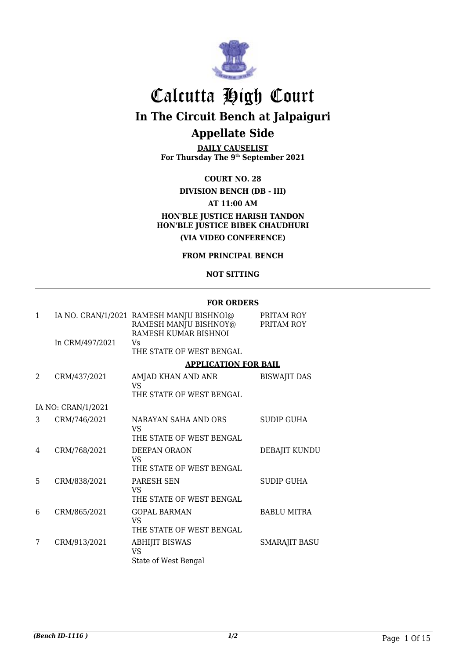

# Calcutta High Court

# **In The Circuit Bench at Jalpaiguri**

### **Appellate Side**

**DAILY CAUSELIST For Thursday The 9th September 2021**

#### **COURT NO. 28**

#### **DIVISION BENCH (DB - III) AT 11:00 AM HON'BLE JUSTICE HARISH TANDON HON'BLE JUSTICE BIBEK CHAUDHURI (VIA VIDEO CONFERENCE)**

#### **FROM PRINCIPAL BENCH**

#### **NOT SITTING**

#### **FOR ORDERS**

|                    | RAMESH MANJU BISHNOY@<br>RAMESH KUMAR BISHNOI | PRITAM ROY<br>PRITAM ROY                                                                                                                                                                                 |
|--------------------|-----------------------------------------------|----------------------------------------------------------------------------------------------------------------------------------------------------------------------------------------------------------|
| In CRM/497/2021    | Vs<br>THE STATE OF WEST BENGAL                |                                                                                                                                                                                                          |
|                    |                                               |                                                                                                                                                                                                          |
| CRM/437/2021       | AMJAD KHAN AND ANR<br>VS                      | <b>BISWAJIT DAS</b>                                                                                                                                                                                      |
|                    | THE STATE OF WEST BENGAL                      |                                                                                                                                                                                                          |
| IA NO: CRAN/1/2021 |                                               |                                                                                                                                                                                                          |
| CRM/746/2021       | NARAYAN SAHA AND ORS<br>VS.                   | <b>SUDIP GUHA</b>                                                                                                                                                                                        |
|                    |                                               |                                                                                                                                                                                                          |
| CRM/768/2021       | DEEPAN ORAON<br>VS.                           | DEBAJIT KUNDU                                                                                                                                                                                            |
|                    |                                               |                                                                                                                                                                                                          |
|                    | VS.<br>THE STATE OF WEST BENGAL               | <b>SUDIP GUHA</b>                                                                                                                                                                                        |
| CRM/865/2021       | <b>GOPAL BARMAN</b><br>VS.                    | <b>BABLU MITRA</b>                                                                                                                                                                                       |
|                    |                                               |                                                                                                                                                                                                          |
| CRM/913/2021       | <b>ABHIJIT BISWAS</b><br><b>VS</b>            | <b>SMARAJIT BASU</b>                                                                                                                                                                                     |
|                    | CRM/838/2021                                  | IA NO. CRAN/1/2021 RAMESH MANJU BISHNOI@<br><b>APPLICATION FOR BAIL</b><br>THE STATE OF WEST BENGAL<br>THE STATE OF WEST BENGAL<br><b>PARESH SEN</b><br>THE STATE OF WEST BENGAL<br>State of West Bengal |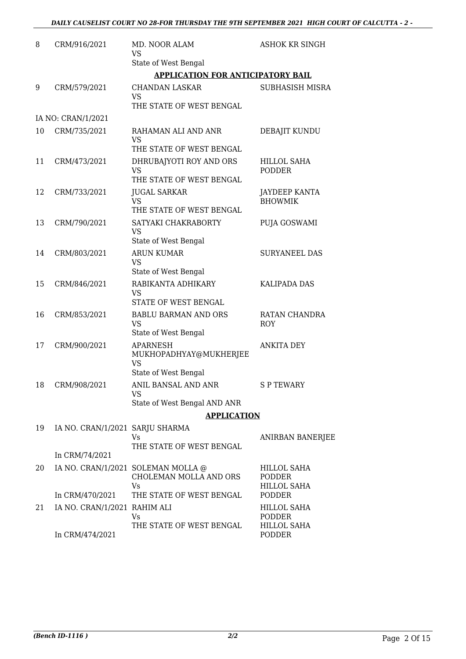#### *DAILY CAUSELIST COURT NO 28-FOR THURSDAY THE 9TH SEPTEMBER 2021 HIGH COURT OF CALCUTTA - 2 -*

| 8  | CRM/916/2021                    | MD. NOOR ALAM<br>VS<br>State of West Bengal                             | <b>ASHOK KR SINGH</b>                              |
|----|---------------------------------|-------------------------------------------------------------------------|----------------------------------------------------|
|    |                                 | <b>APPLICATION FOR ANTICIPATORY BAIL</b>                                |                                                    |
| 9  | CRM/579/2021                    | <b>CHANDAN LASKAR</b><br>VS<br>THE STATE OF WEST BENGAL                 | SUBHASISH MISRA                                    |
|    | IA NO: CRAN/1/2021              |                                                                         |                                                    |
| 10 | CRM/735/2021                    | RAHAMAN ALI AND ANR<br>VS                                               | DEBAJIT KUNDU                                      |
|    |                                 | THE STATE OF WEST BENGAL                                                |                                                    |
| 11 | CRM/473/2021                    | DHRUBAJYOTI ROY AND ORS<br><b>VS</b><br>THE STATE OF WEST BENGAL        | <b>HILLOL SAHA</b><br><b>PODDER</b>                |
| 12 | CRM/733/2021                    | <b>JUGAL SARKAR</b><br><b>VS</b><br>THE STATE OF WEST BENGAL            | JAYDEEP KANTA<br><b>BHOWMIK</b>                    |
| 13 | CRM/790/2021                    | SATYAKI CHAKRABORTY<br>VS<br>State of West Bengal                       | PUJA GOSWAMI                                       |
| 14 | CRM/803/2021                    | <b>ARUN KUMAR</b><br><b>VS</b><br>State of West Bengal                  | <b>SURYANEEL DAS</b>                               |
| 15 | CRM/846/2021                    | RABIKANTA ADHIKARY<br>VS<br>STATE OF WEST BENGAL                        | <b>KALIPADA DAS</b>                                |
| 16 | CRM/853/2021                    | <b>BABLU BARMAN AND ORS</b><br><b>VS</b><br>State of West Bengal        | RATAN CHANDRA<br><b>ROY</b>                        |
| 17 | CRM/900/2021                    | <b>APARNESH</b><br>MUKHOPADHYAY@MUKHERJEE<br>VS<br>State of West Bengal | <b>ANKITA DEY</b>                                  |
| 18 | CRM/908/2021                    | ANIL BANSAL AND ANR<br>VS<br>State of West Bengal AND ANR               | S P TEWARY                                         |
|    |                                 | <b>APPLICATION</b>                                                      |                                                    |
| 19 | IA NO. CRAN/1/2021 SARJU SHARMA | Vs<br>THE STATE OF WEST BENGAL                                          | ANIRBAN BANERJEE                                   |
|    | In CRM/74/2021                  |                                                                         |                                                    |
| 20 |                                 | IA NO. CRAN/1/2021 SOLEMAN MOLLA @<br>CHOLEMAN MOLLA AND ORS<br>Vs.     | HILLOL SAHA<br><b>PODDER</b><br><b>HILLOL SAHA</b> |
|    | In CRM/470/2021                 | THE STATE OF WEST BENGAL                                                | <b>PODDER</b>                                      |
| 21 | IA NO. CRAN/1/2021 RAHIM ALI    | Vs<br>THE STATE OF WEST BENGAL                                          | <b>HILLOL SAHA</b><br>PODDER<br>HILLOL SAHA        |
|    | In CRM/474/2021                 |                                                                         | PODDER                                             |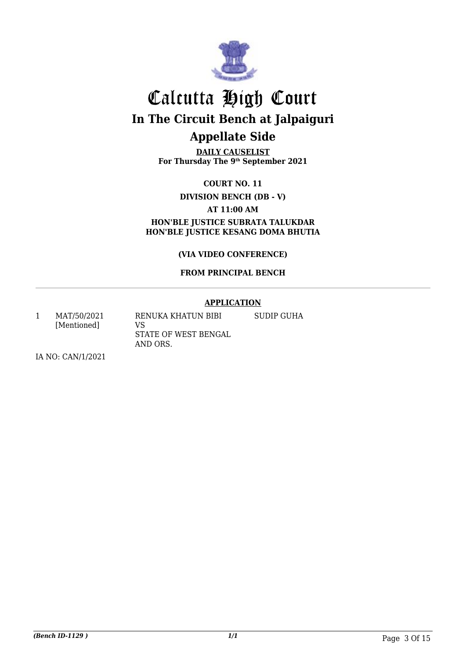

**DAILY CAUSELIST For Thursday The 9th September 2021**

**COURT NO. 11**

**DIVISION BENCH (DB - V)**

**AT 11:00 AM**

**HON'BLE JUSTICE SUBRATA TALUKDAR HON'BLE JUSTICE KESANG DOMA BHUTIA**

**(VIA VIDEO CONFERENCE)**

#### **FROM PRINCIPAL BENCH**

#### **APPLICATION**

SUDIP GUHA

1 MAT/50/2021 [Mentioned] RENUKA KHATUN BIBI VS STATE OF WEST BENGAL AND ORS.

IA NO: CAN/1/2021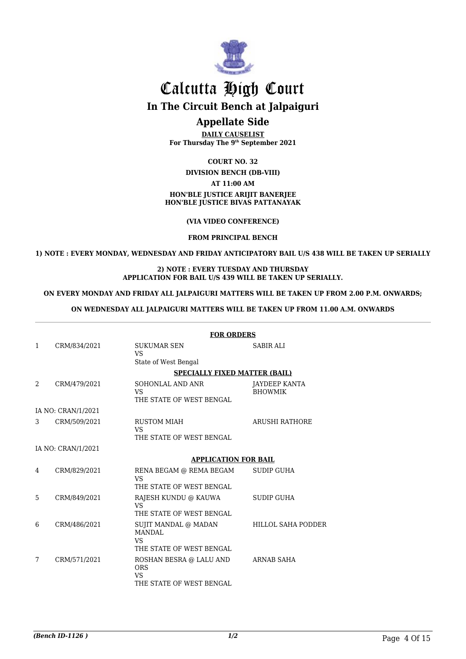

### Calcutta High Court **In The Circuit Bench at Jalpaiguri**

#### **Appellate Side**

**DAILY CAUSELIST For Thursday The 9th September 2021**

**COURT NO. 32**

#### **DIVISION BENCH (DB-VIII)**

**AT 11:00 AM**

#### **HON'BLE JUSTICE ARIJIT BANERJEE HON'BLE JUSTICE BIVAS PATTANAYAK**

**(VIA VIDEO CONFERENCE)**

**FROM PRINCIPAL BENCH**

**1) NOTE : EVERY MONDAY, WEDNESDAY AND FRIDAY ANTICIPATORY BAIL U/S 438 WILL BE TAKEN UP SERIALLY**

#### **2) NOTE : EVERY TUESDAY AND THURSDAY APPLICATION FOR BAIL U/S 439 WILL BE TAKEN UP SERIALLY.**

#### **ON EVERY MONDAY AND FRIDAY ALL JALPAIGURI MATTERS WILL BE TAKEN UP FROM 2.00 P.M. ONWARDS;**

#### **ON WEDNESDAY ALL JALPAIGURI MATTERS WILL BE TAKEN UP FROM 11.00 A.M. ONWARDS**

|              |                    | <b>FOR ORDERS</b>                                                        |                                 |  |
|--------------|--------------------|--------------------------------------------------------------------------|---------------------------------|--|
| $\mathbf{1}$ | CRM/834/2021       | <b>SUKUMAR SEN</b><br>VS<br>State of West Bengal                         | <b>SABIR ALI</b>                |  |
|              |                    | <b>SPECIALLY FIXED MATTER (BAIL)</b>                                     |                                 |  |
| 2            | CRM/479/2021       | SOHONLAL AND ANR<br><b>VS</b><br>THE STATE OF WEST BENGAL                | JAYDEEP KANTA<br><b>BHOWMIK</b> |  |
|              | IA NO: CRAN/1/2021 |                                                                          |                                 |  |
| 3            | CRM/509/2021       | <b>RUSTOM MIAH</b><br><b>VS</b><br>THE STATE OF WEST BENGAL              | <b>ARUSHI RATHORE</b>           |  |
|              | IA NO: CRAN/1/2021 |                                                                          |                                 |  |
|              |                    | <b>APPLICATION FOR BAIL</b>                                              |                                 |  |
| 4            | CRM/829/2021       | RENA BEGAM @ REMA BEGAM<br><b>VS</b><br>THE STATE OF WEST BENGAL         | <b>SUDIP GUHA</b>               |  |
| 5            | CRM/849/2021       | RAJESH KUNDU @ KAUWA<br><b>VS</b><br>THE STATE OF WEST BENGAL            | <b>SUDIP GUHA</b>               |  |
| 6            | CRM/486/2021       | SUJIT MANDAL @ MADAN<br><b>MANDAL</b><br>VS.<br>THE STATE OF WEST BENGAL | HILLOL SAHA PODDER              |  |
| 7            | CRM/571/2021       | ROSHAN BESRA @ LALU AND<br><b>ORS</b><br>VS.<br>THE STATE OF WEST BENGAL | <b>ARNAB SAHA</b>               |  |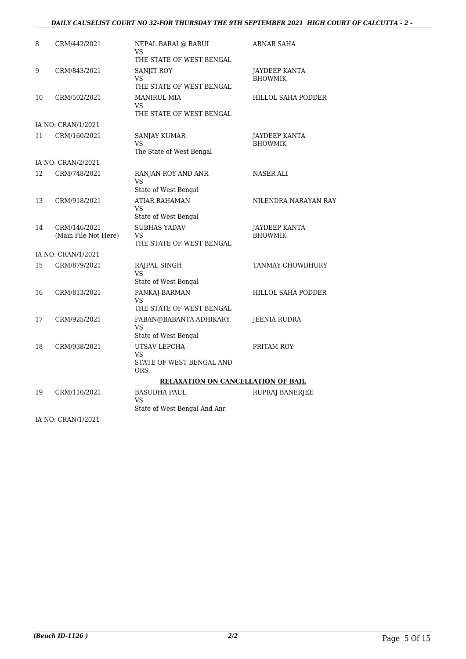#### *DAILY CAUSELIST COURT NO 32-FOR THURSDAY THE 9TH SEPTEMBER 2021 HIGH COURT OF CALCUTTA - 2 -*

| 8  | CRM/442/2021                         | NEPAL BARAI @ BARUI<br>VS<br>THE STATE OF WEST BENGAL            | ARNAB SAHA                             |
|----|--------------------------------------|------------------------------------------------------------------|----------------------------------------|
| 9  | CRM/843/2021                         | <b>SANJIT ROY</b><br>VS<br>THE STATE OF WEST BENGAL              | JAYDEEP KANTA<br><b>BHOWMIK</b>        |
| 10 | CRM/502/2021                         | <b>MANIRUL MIA</b><br><b>VS</b><br>THE STATE OF WEST BENGAL      | HILLOL SAHA PODDER                     |
|    | IA NO: CRAN/1/2021                   |                                                                  |                                        |
| 11 | CRM/160/2021                         | <b>SANJAY KUMAR</b><br><b>VS</b><br>The State of West Bengal     | <b>JAYDEEP KANTA</b><br><b>BHOWMIK</b> |
|    | IA NO: CRAN/2/2021                   |                                                                  |                                        |
| 12 | CRM/748/2021                         | RANJAN ROY AND ANR<br>VS<br>State of West Bengal                 | <b>NASER ALI</b>                       |
| 13 | CRM/918/2021                         | <b>ATIAR RAHAMAN</b><br>VS<br>State of West Bengal               | NILENDRA NARAYAN RAY                   |
| 14 | CRM/146/2021<br>(Main File Not Here) | <b>SUBHAS YADAV</b><br><b>VS</b><br>THE STATE OF WEST BENGAL     | <b>JAYDEEP KANTA</b><br><b>BHOWMIK</b> |
|    | IA NO: CRAN/1/2021                   |                                                                  |                                        |
| 15 | CRM/879/2021                         | RAJPAL SINGH<br>VS<br>State of West Bengal                       | TANMAY CHOWDHURY                       |
| 16 | CRM/813/2021                         | PANKAJ BARMAN<br>VS<br>THE STATE OF WEST BENGAL                  | HILLOL SAHA PODDER                     |
| 17 | CRM/925/2021                         | PABAN@BABANTA ADHIKARY<br><b>VS</b><br>State of West Bengal      | JEENIA RUDRA                           |
| 18 | CRM/938/2021                         | UTSAV LEPCHA<br><b>VS</b><br>STATE OF WEST BENGAL AND<br>ORS.    | PRITAM ROY                             |
|    |                                      | RELAXATION ON CANCELLATION OF BAIL                               |                                        |
| 19 | CRM/110/2021                         | <b>BASUDHA PAUL</b><br><b>VS</b><br>State of West Bengal And Anr | RUPRAJ BANERJEE                        |
|    | IA NO: CRAN/1/2021                   |                                                                  |                                        |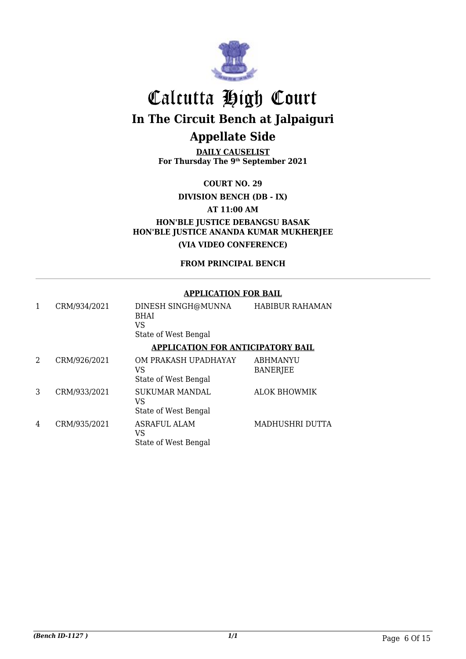

**DAILY CAUSELIST For Thursday The 9th September 2021**

**COURT NO. 29**

**DIVISION BENCH (DB - IX)**

**AT 11:00 AM**

**HON'BLE JUSTICE DEBANGSU BASAK HON'BLE JUSTICE ANANDA KUMAR MUKHERJEE (VIA VIDEO CONFERENCE)**

**FROM PRINCIPAL BENCH**

#### **APPLICATION FOR BAIL**

|   | CRM/934/2021 | DINESH SINGH@MUNNA<br><b>BHAI</b><br>VS<br>State of West Bengal | <b>HABIBUR RAHAMAN</b>             |
|---|--------------|-----------------------------------------------------------------|------------------------------------|
|   |              | <b>APPLICATION FOR ANTICIPATORY BAIL</b>                        |                                    |
| 2 | CRM/926/2021 | OM PRAKASH UPADHAYAY<br>VS<br>State of West Bengal              | <b>ABHMANYU</b><br><b>BANERJEE</b> |
| 3 | CRM/933/2021 | <b>SUKUMAR MANDAL</b><br>VS<br>State of West Bengal             | <b>ALOK BHOWMIK</b>                |
| 4 | CRM/935/2021 | <b>ASRAFUL ALAM</b><br>VS<br>State of West Bengal               | MADHUSHRI DUTTA                    |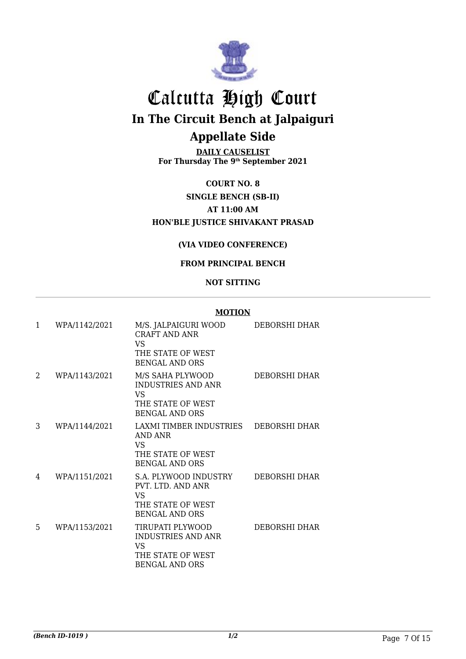

**DAILY CAUSELIST For Thursday The 9th September 2021**

**COURT NO. 8 SINGLE BENCH (SB-II) AT 11:00 AM HON'BLE JUSTICE SHIVAKANT PRASAD**

#### **(VIA VIDEO CONFERENCE)**

#### **FROM PRINCIPAL BENCH**

#### **NOT SITTING**

| $\mathbf{1}$ | WPA/1142/2021 | M/S. JALPAIGURI WOOD<br>CRAFT AND ANR<br>VS.<br>THE STATE OF WEST<br><b>BENGAL AND ORS</b>         | DEBORSHI DHAR |
|--------------|---------------|----------------------------------------------------------------------------------------------------|---------------|
| 2            | WPA/1143/2021 | M/S SAHA PLYWOOD<br><b>INDUSTRIES AND ANR</b><br>VS.<br>THE STATE OF WEST<br><b>BENGAL AND ORS</b> | DEBORSHI DHAR |
| 3            | WPA/1144/2021 | LAXMI TIMBER INDUSTRIES<br>AND ANR<br>VS.<br>THE STATE OF WEST<br><b>BENGAL AND ORS</b>            | DEBORSHI DHAR |
| 4            | WPA/1151/2021 | S.A. PLYWOOD INDUSTRY<br>PVT. LTD. AND ANR<br>VS.<br>THE STATE OF WEST<br><b>BENGAL AND ORS</b>    | DEBORSHI DHAR |
| 5            | WPA/1153/2021 | TIRUPATI PLYWOOD<br><b>INDUSTRIES AND ANR</b><br>VS<br>THE STATE OF WEST<br><b>BENGAL AND ORS</b>  | DEBORSHI DHAR |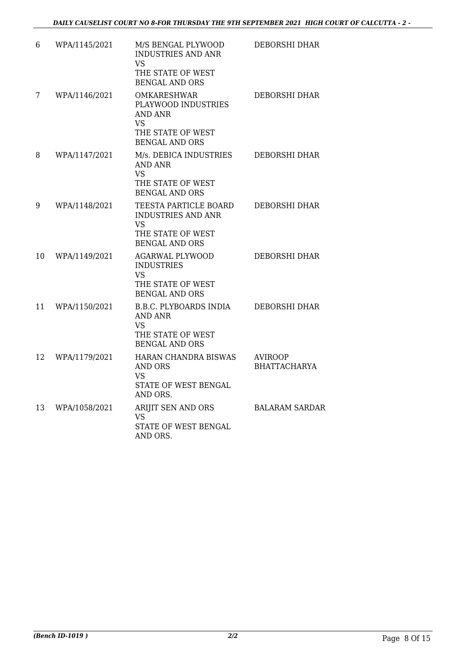| 6  | WPA/1145/2021 | M/S BENGAL PLYWOOD<br><b>INDUSTRIES AND ANR</b><br><b>VS</b>                                                  | DEBORSHI DHAR                  |
|----|---------------|---------------------------------------------------------------------------------------------------------------|--------------------------------|
|    |               | THE STATE OF WEST<br><b>BENGAL AND ORS</b>                                                                    |                                |
| 7  | WPA/1146/2021 | <b>OMKARESHWAR</b><br>PLAYWOOD INDUSTRIES<br><b>AND ANR</b><br>VS<br>THE STATE OF WEST                        | DEBORSHI DHAR                  |
|    |               | <b>BENGAL AND ORS</b>                                                                                         |                                |
| 8  | WPA/1147/2021 | M/s. DEBICA INDUSTRIES<br><b>AND ANR</b><br><b>VS</b><br>THE STATE OF WEST                                    | DEBORSHI DHAR                  |
|    |               | <b>BENGAL AND ORS</b>                                                                                         |                                |
| 9  | WPA/1148/2021 | TEESTA PARTICLE BOARD<br><b>INDUSTRIES AND ANR</b><br><b>VS</b><br>THE STATE OF WEST<br><b>BENGAL AND ORS</b> | DEBORSHI DHAR                  |
| 10 | WPA/1149/2021 | <b>AGARWAL PLYWOOD</b><br><b>INDUSTRIES</b><br><b>VS</b><br>THE STATE OF WEST<br><b>BENGAL AND ORS</b>        | DEBORSHI DHAR                  |
| 11 | WPA/1150/2021 | <b>B.B.C. PLYBOARDS INDIA</b><br>AND ANR<br><b>VS</b><br>THE STATE OF WEST<br><b>BENGAL AND ORS</b>           | <b>DEBORSHI DHAR</b>           |
| 12 | WPA/1179/2021 | HARAN CHANDRA BISWAS<br>AND ORS<br>VS<br>STATE OF WEST BENGAL<br>AND ORS.                                     | AVIROOP<br><b>BHATTACHARYA</b> |
| 13 | WPA/1058/2021 | ARIJIT SEN AND ORS<br><b>VS</b><br>STATE OF WEST BENGAL<br>AND ORS.                                           | <b>BALARAM SARDAR</b>          |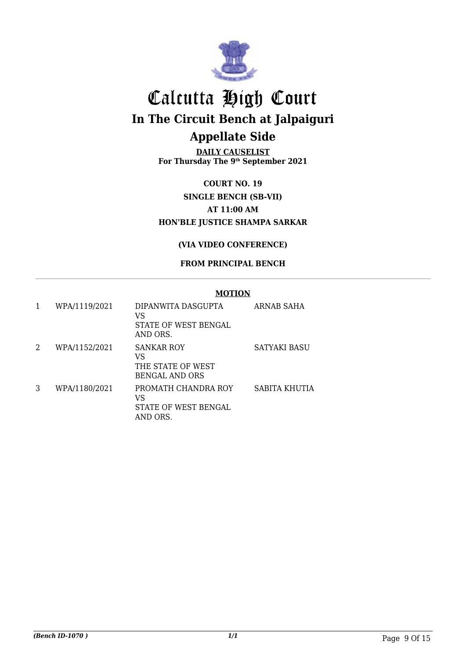

**DAILY CAUSELIST For Thursday The 9th September 2021**

**COURT NO. 19 SINGLE BENCH (SB-VII) AT 11:00 AM HON'BLE JUSTICE SHAMPA SARKAR**

#### **(VIA VIDEO CONFERENCE)**

#### **FROM PRINCIPAL BENCH**

| 1 | WPA/1119/2021 | DIPANWITA DASGUPTA<br>VS<br>STATE OF WEST BENGAL<br>AND ORS.   | ARNAB SAHA    |
|---|---------------|----------------------------------------------------------------|---------------|
| 2 | WPA/1152/2021 | SANKAR ROY<br>VS<br>THE STATE OF WEST<br><b>BENGAL AND ORS</b> | SATYAKI BASU  |
| 3 | WPA/1180/2021 | PROMATH CHANDRA ROY<br>VS<br>STATE OF WEST BENGAL<br>AND ORS.  | SABITA KHUTIA |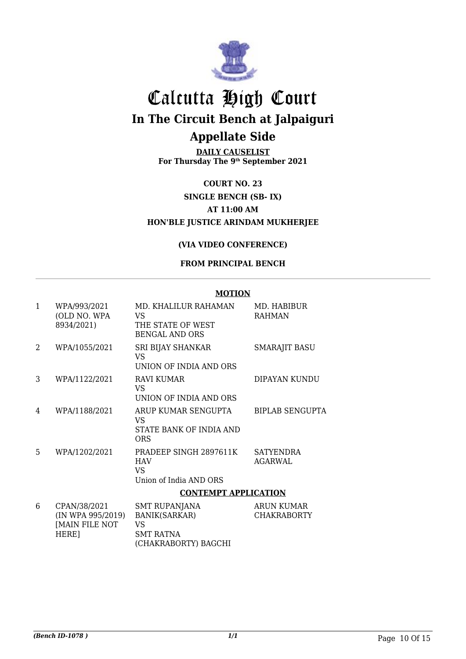

**DAILY CAUSELIST For Thursday The 9th September 2021**

**COURT NO. 23 SINGLE BENCH (SB- IX) AT 11:00 AM HON'BLE JUSTICE ARINDAM MUKHERJEE**

#### **(VIA VIDEO CONFERENCE)**

#### **FROM PRINCIPAL BENCH**

#### **MOTION**

| $\mathbf{1}$ | WPA/993/2021      | MD. KHALILUR RAHAMAN                       | MD. HABIBUR            |
|--------------|-------------------|--------------------------------------------|------------------------|
|              | (OLD NO. WPA      | VS                                         | <b>RAHMAN</b>          |
|              | 8934/2021)        | THE STATE OF WEST<br><b>BENGAL AND ORS</b> |                        |
| 2            | WPA/1055/2021     | SRI BIJAY SHANKAR<br>VS                    | <b>SMARAJIT BASU</b>   |
|              |                   | UNION OF INDIA AND ORS                     |                        |
| 3            | WPA/1122/2021     | RAVI KUMAR<br>VS                           | DIPAYAN KUNDU          |
|              |                   | UNION OF INDIA AND ORS                     |                        |
| 4            | WPA/1188/2021     | ARUP KUMAR SENGUPTA<br>VS                  | <b>BIPLAB SENGUPTA</b> |
|              |                   | STATE BANK OF INDIA AND<br>ORS             |                        |
| 5            | WPA/1202/2021     | PRADEEP SINGH 2897611K                     | <b>SATYENDRA</b>       |
|              |                   | <b>HAV</b><br><b>VS</b>                    | <b>AGARWAL</b>         |
|              |                   | Union of India AND ORS                     |                        |
|              |                   | <b>CONTEMPT APPLICATION</b>                |                        |
| 6            | CPAN/38/2021      | SMT RUPANJANA                              | <b>ARUN KUMAR</b>      |
|              | (IN WPA 995/2019) | <b>BANIK(SARKAR)</b>                       | <b>CHAKRABORTY</b>     |
|              | [MAIN FILE NOT    | <b>VS</b>                                  |                        |
|              | HERE]             | <b>SMT RATNA</b>                           |                        |

(CHAKRABORTY) BAGCHI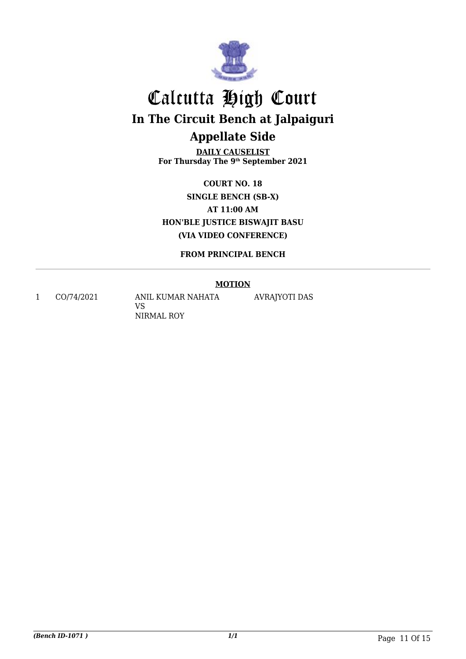

**DAILY CAUSELIST For Thursday The 9th September 2021**

**COURT NO. 18 SINGLE BENCH (SB-X) AT 11:00 AM HON'BLE JUSTICE BISWAJIT BASU (VIA VIDEO CONFERENCE)**

**FROM PRINCIPAL BENCH**

#### **MOTION**

1 CO/74/2021 ANIL KUMAR NAHATA VS NIRMAL ROY

AVRAJYOTI DAS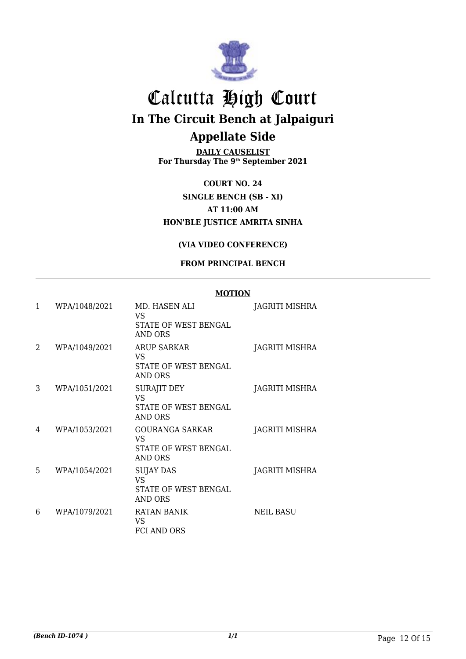

**DAILY CAUSELIST For Thursday The 9th September 2021**

**COURT NO. 24 SINGLE BENCH (SB - XI) AT 11:00 AM HON'BLE JUSTICE AMRITA SINHA**

#### **(VIA VIDEO CONFERENCE)**

#### **FROM PRINCIPAL BENCH**

| 1                           | WPA/1048/2021 | MD. HASEN ALI<br>VS                                                 | <b>JAGRITI MISHRA</b> |
|-----------------------------|---------------|---------------------------------------------------------------------|-----------------------|
|                             |               | STATE OF WEST BENGAL<br><b>AND ORS</b>                              |                       |
| $\mathcal{D}_{\mathcal{L}}$ | WPA/1049/2021 | <b>ARUP SARKAR</b><br>VS<br>STATE OF WEST BENGAL<br><b>AND ORS</b>  | JAGRITI MISHRA        |
| 3                           | WPA/1051/2021 | <b>SURAJIT DEY</b><br>VS.<br>STATE OF WEST BENGAL<br><b>AND ORS</b> | JAGRITI MISHRA        |
| 4                           | WPA/1053/2021 | <b>GOURANGA SARKAR</b><br>VS<br>STATE OF WEST BENGAL<br>AND ORS     | JAGRITI MISHRA        |
| 5                           | WPA/1054/2021 | SUJAY DAS<br><b>VS</b><br>STATE OF WEST BENGAL<br>AND ORS           | JAGRITI MISHRA        |
| 6                           | WPA/1079/2021 | RATAN BANIK<br>VS<br><b>FCI AND ORS</b>                             | <b>NEIL BASU</b>      |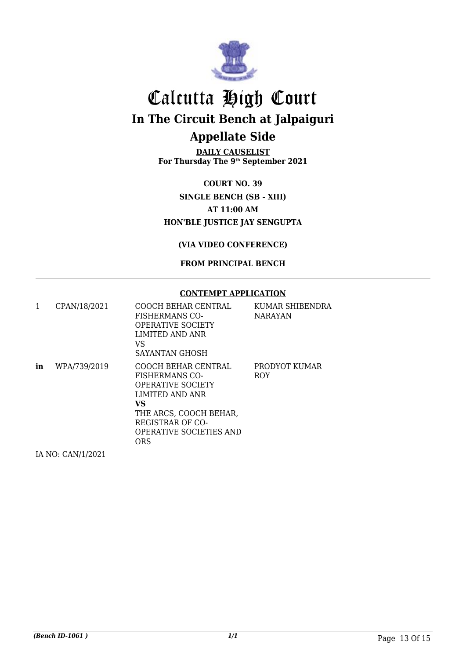

**DAILY CAUSELIST For Thursday The 9th September 2021**

**COURT NO. 39 SINGLE BENCH (SB - XIII) AT 11:00 AM HON'BLE JUSTICE JAY SENGUPTA**

**(VIA VIDEO CONFERENCE)**

**FROM PRINCIPAL BENCH**

#### **CONTEMPT APPLICATION**

|    | CPAN/18/2021 | COOCH BEHAR CENTRAL<br><b>FISHERMANS CO-</b><br><b>OPERATIVE SOCIETY</b><br>LIMITED AND ANR<br>VS<br>SAYANTAN GHOSH                                                                | KUMAR SHIBENDRA<br><b>NARAYAN</b> |
|----|--------------|------------------------------------------------------------------------------------------------------------------------------------------------------------------------------------|-----------------------------------|
| in | WPA/739/2019 | COOCH BEHAR CENTRAL<br>FISHERMANS CO-<br><b>OPERATIVE SOCIETY</b><br>LIMITED AND ANR<br>VS.<br>THE ARCS, COOCH BEHAR,<br>REGISTRAR OF CO-<br><b>OPERATIVE SOCIETIES AND</b><br>ORS | PRODYOT KUMAR<br><b>ROY</b>       |

IA NO: CAN/1/2021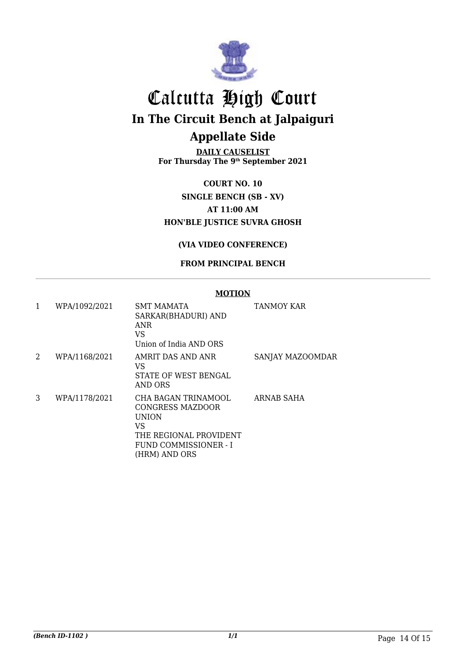

**DAILY CAUSELIST For Thursday The 9th September 2021**

**COURT NO. 10 SINGLE BENCH (SB - XV) AT 11:00 AM HON'BLE JUSTICE SUVRA GHOSH**

#### **(VIA VIDEO CONFERENCE)**

#### **FROM PRINCIPAL BENCH**

| 1 | WPA/1092/2021 | <b>SMT MAMATA</b><br>SARKAR(BHADURI) AND<br>ANR<br><b>VS</b><br>Union of India AND ORS                                     | <b>TANMOY KAR</b> |
|---|---------------|----------------------------------------------------------------------------------------------------------------------------|-------------------|
| 2 | WPA/1168/2021 | AMRIT DAS AND ANR<br>VS<br>STATE OF WEST BENGAL<br><b>AND ORS</b>                                                          | SANJAY MAZOOMDAR  |
| 3 | WPA/1178/2021 | CHA BAGAN TRINAMOOL<br>CONGRESS MAZDOOR<br>UNION<br>VS<br>THE REGIONAL PROVIDENT<br>FUND COMMISSIONER - I<br>(HRM) AND ORS | ARNAB SAHA        |